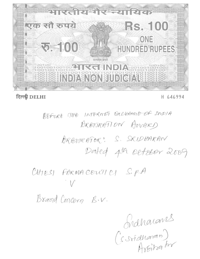

# दिल्ली DELHI

## H 646994

BEFORE THE INTERNET GOLHAMSE OF DIDIA BRBIORATION AWARD ARBURATOR: S. SRIDHARAW Dated 4th oetober 2009

CHIESI FORMACENTICI S.P.A

Brand Concern B.V.

Graharants<br>(s stidharan)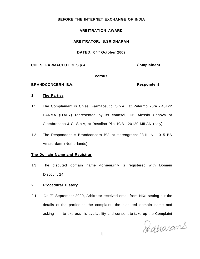#### **BEFORE THE INTERNET EXCHANGE OF INDIA**

### **ARBITRATION AWARD**

#### **ARBITRATOR: S.SRIDHARAN**

#### **DATED: 04<sup>t</sup> <sup>h</sup> October 2009**

#### **CHIESI FARMACEUTICI S.p.A Complainant**

#### **Versus**

#### BRANDCONCERN B.V. **Respondent**

#### **1. The Parties**

- 1.1 The Complainant is Chiesi Farmaceutici S.p.A., at Palermo 26/A 43122 PARMA (ITALY) represented by its counsel, Dr. Alessio Canova of Giambrocono & C. S.p.A, at Rosolino Pilo 19/B - 20129 MILAN (Italy).
- 1.2 The Respondent is Brandconcern BV, at Herengracht 23-II, NL-1015 BA Amsterdam (Netherlands).

#### **The Domain Name and Registrar**

1.3 The disputed domain name **<chiesi.in>** is registered with Domain Discount 24.

### **2. Procedural History**

2.1 On 7<sup>th</sup> September 2009, Arbitrator received email from NIXI setting out the details of the parties to the complaint, the disputed domain name and asking him to express his availability and consent to take up the Complaint

Shallarans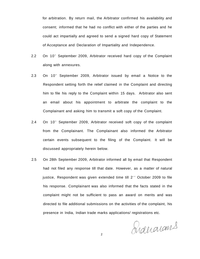for arbitration. By return mail, the Arbitrator confirmed his availability and consent; informed that he had no conflict with either of the parties and he could act impartially and agreed to send a signed hard copy of Statement of Acceptance and Declaration of Impartiality and Independence.

- 2.2 On 10<sup>th</sup> September 2009, Arbitrator received hard copy of the Complaint along with annexures.
- 2.3 On 10<sup>th</sup> September 2009, Arbitrator issued by email a Notice to the Respondent setting forth the relief claimed in the Complaint and directing him to file his reply to the Complaint within 15 days. Arbitrator also sent an email about his appointment to arbitrate the complaint to the Complainant and asking him to transmit a soft copy of the Complaint.
- 2.4 On 10<sup>th</sup> September 2009, Arbitrator received soft copy of the complaint from the Complainant. The Complainant also informed the Arbitrator certain events subsequent to the filing of the Complaint. It will be discussed appropriately herein below.
- 2.5 On 28th September 2009, Arbitrator informed all by email that Respondent had not filed any response till that date. However, as a matter of natural justice, Respondent was given extended time till 2<sup>®®</sup> October 2009 to file his response. Complainant was also informed that the facts stated in the complaint might not be sufficient to pass an award on merits and was directed to file additional submissions on the activities of the complaint, his presence in India, Indian trade marks applications/ registrations etc.

Siduaians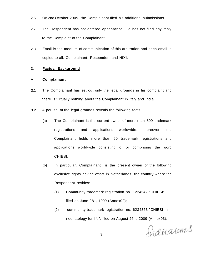- 2.6 On 2nd October 2009, the Complainant filed his additional submissions.
- 2.7 The Respondent has not entered appearance. He has not filed any reply to the Complaint of the Complainant.
- 2.8 Email is the medium of communication of this arbitration and each email is copied to all, Complainant, Respondent and NIXI.

#### 3. **Factual Background**

#### A **Complainant**

- 3.1 The Complainant has set out only the legal grounds in his complaint and there is virtually nothing about the Complainant in Italy and India.
- 3.2 A perusal of the legal grounds reveals the following facts:
	- (a) The Complainant is the current owner of more than 500 trademark registrations and applications worldwide; moreover, the Complainant holds more than 60 trademark registrations and applications worldwide consisting of or comprising the word CHIESI.
	- (b) In particular, Complainant is the present owner of the following exclusive rights having effect in Netherlands, the country where the Respondent resides:
		- (1) Community trademark registration no. 1224542 "CHIESI", filed on June 28th, 1999 (Annex02);
		- (2) community trademark registration no. 6234363 "CHIESI in neonatology for life", filed on August 26 , 2009 (Annex03);

Snaharans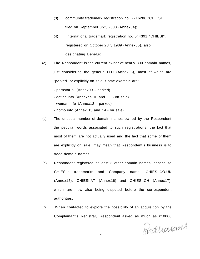- (3) community trademark registration no. 7216286 "CHIESI", filed on September 05 $h$ , 2008 (Annex04);
- (4) international trademark registration no. 544391 "CHIESI", registered on October 23<sup>re</sup>, 1989 (Annex05), also designating Benelux
- (c) The Respondent is the current owner of nearly 800 domain names, just considering the generic TLD (Annex08), most of which are "parked" or explicitly on sale. Some example are:
	- [pornstar.pl](http://pornstar.pl) (Annex09 parked)
	- dating.info (Annexes 10 and 11 on sale)
	- woman.info (Annex12 parked)
	- homo.info (Annex 13 and 14 on sale)
- (d) The unusual number of domain names owned by the Respondent the peculiar words associated to such registrations, the fact that most of them are not actually used and the fact that some of them are explicitly on sale, may mean that Respondent's business is to trade domain names.
- (e) Respondent registered at least 3 other domain names identical to CHIESI's trademarks and Company name: CHIESI.CO.UK (Annex15), CHIESI.AT (Annex16) and CHIESI.CH (Annex17), which are now also being disputed before the correspondent authorities.
- (f) When contacted to explore the possibility of an acquisition by the Complainant's Registrar, Respondent asked as much as €10000

Fraccorans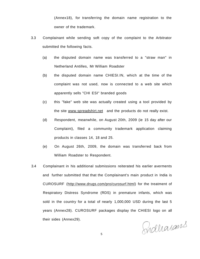(Annex18), for transferring the domain name registration to the owner of the trademark.

- 3.3 Complainant while sending soft copy of the complaint to the Arbitrator submitted the following facts.
	- (a) the disputed domain name was transferred to a "straw man" in Netherland Antilles, Mr William Roadster
	- (b) the disputed domain name CHIESI.IN, which at the time of the complaint was not used, now is connected to a web site which apparently sells "CHI ESI" branded goods
	- (c) this "fake" web site was actually created using a tool provided by the site [www.spreadshirt.net a](http://www.spreadshirt.net)nd the products do not really exist.
	- (d) Respondent, meanwhile, on August 20th, 2009 (ie 15 day after our Complaint), filed a community trademark application claiming products in classes 14, 18 and 25.
	- (e) On August 26th, 2009, the domain was transferred back from William Roadster to Respondent.
- 3.4 Complainant in his additional submissions reiterated his earlier averments and further submitted that that the Complainant's main product in India is CUROSURF ([http://www.drugs.com/pro/curosurf.html\)](http://www.drugs.com/pro/curosurf.html) for the treatment of Respiratory Distress Syndrome (RDS) in premature infants, which was sold in the country for a total of nearly 1,000,000 USD during the last 5 years (Annex28). CUROSURF packages display the CHIESI logo on all their sides (Annex29).

Sidharans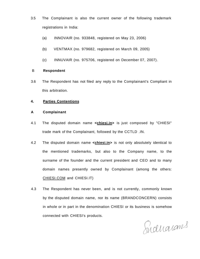- 3.5 The Complainant is also the current owner of the following trademark registrations in India:
	- (a) INNOVAIR (no. 933848, registered on May 23, 2006)
	- (b) VENTMAX (no. 979682, registered on March 09, 2005)
	- (c) INNUVAIR (no. 975706, registered on December 07, 2007).

#### B **Respondent**

3.6 The Respondent has not filed any reply to the Complainant's Compliant in this arbitration.

### **4. Parties Contentions**

#### **A Complainant**

- 4.1 The disputed domain name **<chiesi.in>** is just composed by "CHIESI" trade mark of the Complainant, followed by the CCTLD .IN.
- 4.2 The disputed domain name **<chiesi.in>** is not only absolutely identical to the mentioned trademarks, but also to the Company name, to the surname of the founder and the current president and CEO and to many domain names presently owned by Complainant (among the others: [CHIESI.COM](http://CHIESI.COM) and CHIESI.IT)
- 4.3 The Respondent has never been, and is not currently, commonly known by the disputed domain name, nor its name (BRANDCONCERN) consists in whole or in part in the denomination CHIESI or its business is somehow connected with CHIESI's products.

Suduarams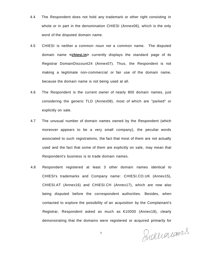- 4.4 The Respondent does not hold any trademark or other right consisting in whole or in part in the denomination CHIESI (Annex06), which is the only word of the disputed domain name.
- 4.5 CHIESI is neither a common noun nor a common name. The disputed domain name **<chiesi.in>** currently displays the standard page of its Registrar DomainDiscount24 (Annex07). Thus, the Respondent is not making a legitimate non-commercial or fair use of the domain name, because the domain name is not being used at all.
- 4.6 The Respondent is the current owner of nearly 800 domain names, just considering the generic TLD (Annex08), most of which are "parked" or explicitly on sale.
- 4.7 The unusual number of domain names owned by the Respondent (which moreover appears to be a very small company), the peculiar words associated to such registrations, the fact that most of them are not actually used and the fact that some of them are explicitly on sale, may mean that Respondent's business is to trade domain names.
- 4.8 Respondent registered at least 3 other domain names identical to CHIESI's trademarks and Company name: CHIESI.CO.UK (Annex15), CHIESI.AT (Annex16) and CHIESI.CH (Annex17), which are now also being disputed before the correspondent authorities. Besides, when contacted to explore the possibility of an acquisition by the Complainant's Registrar, Respondent asked as much as €10000 (Annex18), clearly demonstrating that the domains were registered or acquired primarily for

Sudliarans

7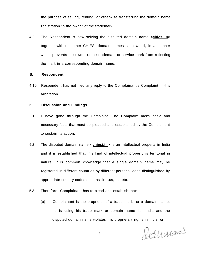the purpose of selling, renting, or otherwise transferring the domain name registration to the owner of the trademark.

4.9 The Respondent is now seizing the disputed domain name **<chiesi.in>**  together with the other CHIESI domain names still owned, in a manner which prevents the owner of the trademark or service mark from reflecting the mark in a corresponding domain name.

#### **B. Respondent**

4.10 Respondent has not filed any reply to the Complainant's Complaint in this arbitration.

### **5. Discussion and Findings**

- 5.1 I have gone through the Complaint. The Complaint lacks basic and necessary facts that must be pleaded and established by the Complainant to sustain its action.
- 5.2 The disputed domain name **<chiesi.in>** is an intellectual property in India and it is established that this kind of intellectual property is territorial in nature. It is common knowledge that a single domain name may be registered in different countries by different persons, each distinguished by appropriate country codes such as .in, .us, .ca etc.
- 5.3 Therefore, Complainant has to plead and establish that:
	- (a) Complainant is the proprietor of a trade mark or a domain name; he is using his trade mark or domain name in India and the disputed domain name violates his proprietary rights in India; or

Sudhonans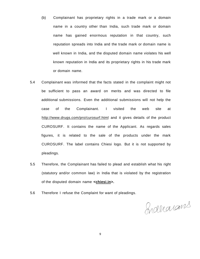- (b) Complainant has proprietary rights in a trade mark or a domain name in a country other than India, such trade mark or domain name has gained enormous reputation in that country, such reputation spreads into India and the trade mark or domain name is well known in India, and the disputed domain name violates his well known reputation in India and its proprietary rights in his trade mark or domain name.
- 5.4 Complainant was informed that the facts stated in the complaint might not be sufficient to pass an award on merits and was directed to file additional submissions. Even the additional submissions will not help the case of the Complainant. I visited the web site at <http://www.drugs.com/pro/curosurf.html>and it gives details of the product CUROSURF. It contains the name of the Applicant. As regards sales figures, it is related to the sale of the products under the mark CUROSURF. The label contains Chiesi logo. But it is not supported by pleadings.
- 5.5 Therefore, the Complainant has failed to plead and establish what his right (statutory and/or common law) in India that is violated by the registration of the disputed domain name **<chiesi.in>.**
- 5.6 Therefore I refuse the Complaint for want of pleadings.

Braharams